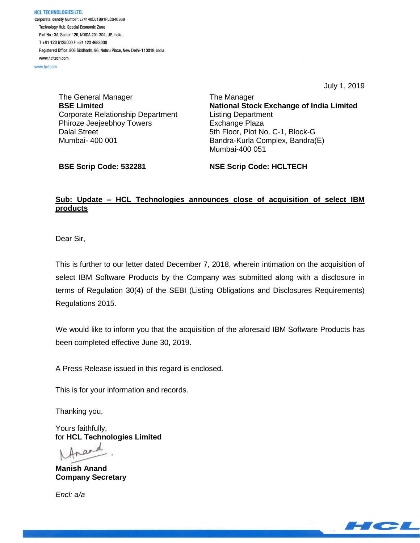HCL TECHNOLOGIES LTD. Corporate Identity Number: L74140DL1991PLC046369 Technology Hub, Special Economic Zone Plot No : 3A, Sector 126, NOIDA 201 304, UP, India. T+91 120 6125000 F+91 120 4683030 Registered Office: 806 Siddharth, 96, Nehru Place, New Delhi-110019, India. www.hcltech.com

www.hcl.com

July 1, 2019

The General Manager **BSE Limited** Corporate Relationship Department Phiroze Jeejeebhoy Towers Dalal Street Mumbai- 400 001

The Manager **National Stock Exchange of India Limited** Listing Department Exchange Plaza 5th Floor, Plot No. C-1, Block-G Bandra-Kurla Complex, Bandra(E) Mumbai-400 051

**BSE Scrip Code: 532281**

**NSE Scrip Code: HCLTECH**

## **Sub: Update – HCL Technologies announces close of acquisition of select IBM products**

Dear Sir,

This is further to our letter dated December 7, 2018, wherein intimation on the acquisition of select IBM Software Products by the Company was submitted along with a disclosure in terms of Regulation 30(4) of the SEBI (Listing Obligations and Disclosures Requirements) Regulations 2015.

We would like to inform you that the acquisition of the aforesaid IBM Software Products has been completed effective June 30, 2019.

A Press Release issued in this regard is enclosed.

This is for your information and records.

Thanking you,

Yours faithfully, for **HCL Technologies Limited**

trand

**Manish Anand Company Secretary**

*Encl: a/a*

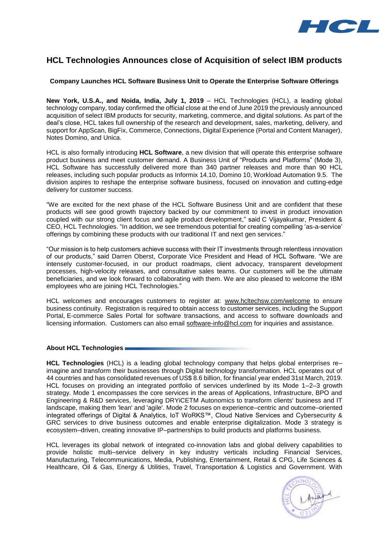

# **HCL Technologies Announces close of Acquisition of select IBM products**

### **Company Launches HCL Software Business Unit to Operate the Enterprise Software Offerings**

**New York, U.S.A., and Noida, India, July 1, 2019** – HCL Technologies (HCL), a leading global technology company, today confirmed the official close at the end of June 2019 the previously announced acquisition of select IBM products for security, marketing, commerce, and digital solutions. As part of the deal's close, HCL takes full ownership of the research and development, sales, marketing, delivery, and support for AppScan, BigFix, Commerce, Connections, Digital Experience (Portal and Content Manager), Notes Domino, and Unica.

HCL is also formally introducing **HCL Software**, a new division that will operate this enterprise software product business and meet customer demand. A Business Unit of "Products and Platforms" (Mode 3), HCL Software has successfully delivered more than 340 partner releases and more than 90 HCL releases, including such popular products as Informix 14.10, Domino 10, Workload Automation 9.5. The division aspires to reshape the enterprise software business, focused on innovation and cutting-edge delivery for customer success.

"We are excited for the next phase of the HCL Software Business Unit and are confident that these products will see good growth trajectory backed by our commitment to invest in product innovation coupled with our strong client focus and agile product development," said C Vijayakumar, President & CEO, HCL Technologies. "In addition, we see tremendous potential for creating compelling 'as-a-service' offerings by combining these products with our traditional IT and next gen services."

"Our mission is to help customers achieve success with their IT investments through relentless innovation of our products," said Darren Oberst, Corporate Vice President and Head of HCL Software. "We are intensely customer-focused, in our product roadmaps, client advocacy, transparent development processes, high-velocity releases, and consultative sales teams. Our customers will be the ultimate beneficiaries, and we look forward to collaborating with them. We are also pleased to welcome the IBM employees who are joining HCL Technologies."

HCL welcomes and encourages customers to register at: [www.hcltechsw.com/welcome](http://www.hcltechsw.com/welcome) to ensure business continuity. Registration is required to obtain access to customer services, including the Support Portal, E-commerce Sales Portal for software transactions, and access to software downloads and licensing information. Customers can also email [software-info@hcl.com](mailto:software-info@hcl.com) for inquiries and assistance.

#### **About HCL Technologies**

**HCL Technologies** (HCL) is a leading global technology company that helps global enterprises re– imagine and transform their businesses through Digital technology transformation. HCL operates out of 44 countries and has consolidated revenues of US\$ 8.6 billion, for financial year ended 31st March, 2019. HCL focuses on providing an integrated portfolio of services underlined by its Mode 1–2–3 growth strategy. Mode 1 encompasses the core services in the areas of Applications, Infrastructure, BPO and Engineering & R&D services, leveraging DRYiCETM Autonomics to transform clients' business and IT landscape, making them 'lean' and 'agile'. Mode 2 focuses on experience–centric and outcome–oriented integrated offerings of Digital & Analytics, IoT WoRKS™, Cloud Native Services and Cybersecurity & GRC services to drive business outcomes and enable enterprise digitalization. Mode 3 strategy is ecosystem–driven, creating innovative IP–partnerships to build products and platforms business.

HCL leverages its global network of integrated co-innovation labs and global delivery capabilities to provide holistic multi–service delivery in key industry verticals including Financial Services, Manufacturing, Telecommunications, Media, Publishing, Entertainment, Retail & CPG, Life Sciences & Healthcare, Oil & Gas, Energy & Utilities, Travel, Transportation & Logistics and Government. With